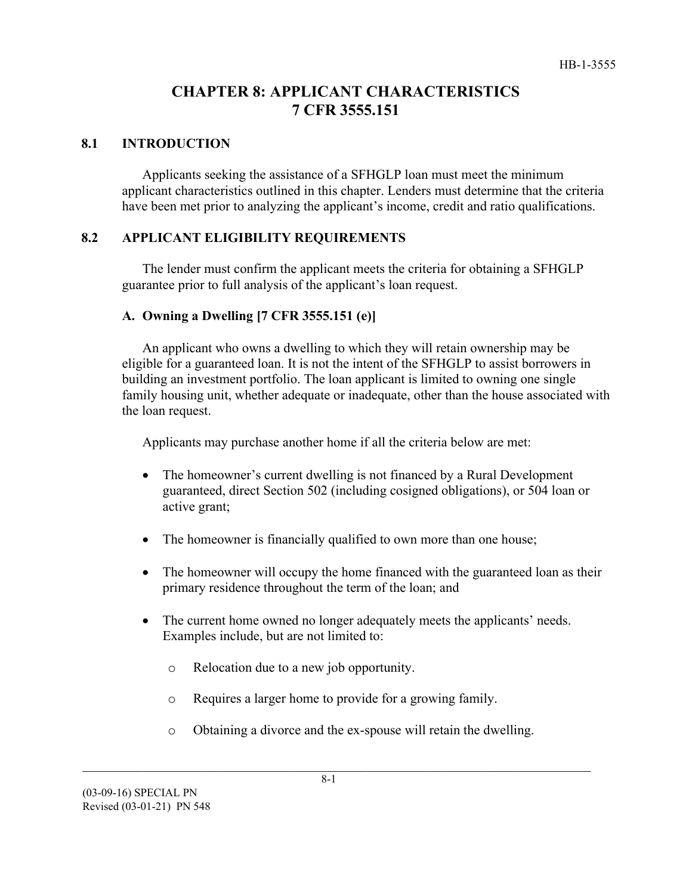# **CHAPTER 8: APPLICANT CHARACTERISTICS 7 CFR 3555.151**

### **8.1 INTRODUCTION**

Applicants seeking the assistance of a SFHGLP loan must meet the minimum applicant characteristics outlined in this chapter. Lenders must determine that the criteria have been met prior to analyzing the applicant's income, credit and ratio qualifications.

### **8.2 APPLICANT ELIGIBILITY REQUIREMENTS**

The lender must confirm the applicant meets the criteria for obtaining a SFHGLP guarantee prior to full analysis of the applicant's loan request.

### **A. Owning a Dwelling [7 CFR 3555.151 (e)]**

An applicant who owns a dwelling to which they will retain ownership may be eligible for a guaranteed loan. It is not the intent of the SFHGLP to assist borrowers in building an investment portfolio. The loan applicant is limited to owning one single family housing unit, whether adequate or inadequate, other than the house associated with the loan request.

Applicants may purchase another home if all the criteria below are met:

- The homeowner's current dwelling is not financed by a Rural Development guaranteed, direct Section 502 (including cosigned obligations), or 504 loan or active grant;
- The homeowner is financially qualified to own more than one house;
- The homeowner will occupy the home financed with the guaranteed loan as their primary residence throughout the term of the loan; and
- The current home owned no longer adequately meets the applicants' needs. Examples include, but are not limited to:
	- o Relocation due to a new job opportunity.
	- o Requires a larger home to provide for a growing family.
	- o Obtaining a divorce and the ex-spouse will retain the dwelling.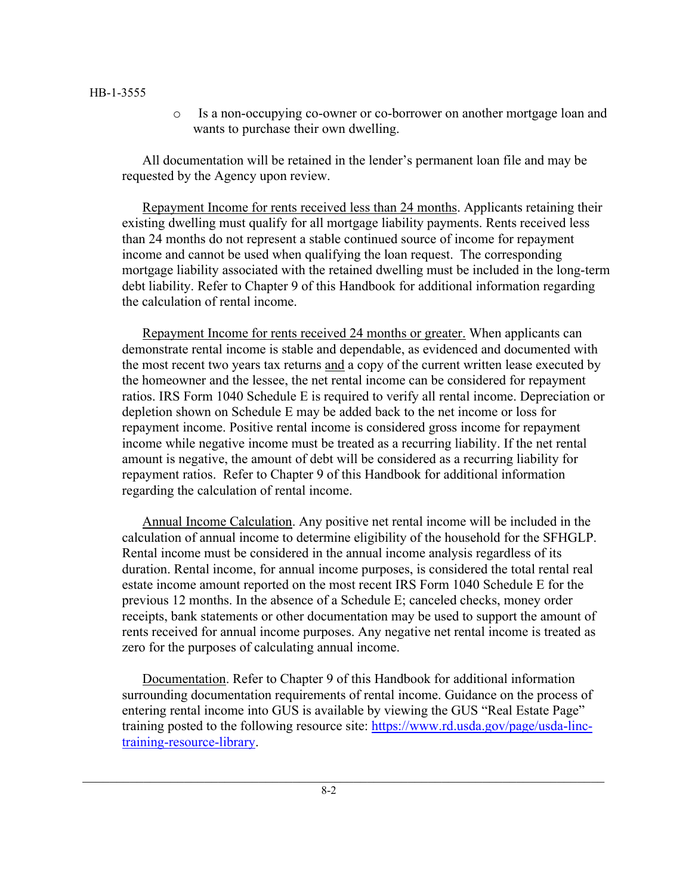#### HB-1-3555

o Is a non-occupying co-owner or co-borrower on another mortgage loan and wants to purchase their own dwelling.

All documentation will be retained in the lender's permanent loan file and may be requested by the Agency upon review.

Repayment Income for rents received less than 24 months. Applicants retaining their existing dwelling must qualify for all mortgage liability payments. Rents received less than 24 months do not represent a stable continued source of income for repayment income and cannot be used when qualifying the loan request. The corresponding mortgage liability associated with the retained dwelling must be included in the long-term debt liability. Refer to Chapter 9 of this Handbook for additional information regarding the calculation of rental income.

Repayment Income for rents received 24 months or greater. When applicants can demonstrate rental income is stable and dependable, as evidenced and documented with the most recent two years tax returns and a copy of the current written lease executed by the homeowner and the lessee, the net rental income can be considered for repayment ratios. IRS Form 1040 Schedule E is required to verify all rental income. Depreciation or depletion shown on Schedule E may be added back to the net income or loss for repayment income. Positive rental income is considered gross income for repayment income while negative income must be treated as a recurring liability. If the net rental amount is negative, the amount of debt will be considered as a recurring liability for repayment ratios. Refer to Chapter 9 of this Handbook for additional information regarding the calculation of rental income.

Annual Income Calculation. Any positive net rental income will be included in the calculation of annual income to determine eligibility of the household for the SFHGLP. Rental income must be considered in the annual income analysis regardless of its duration. Rental income, for annual income purposes, is considered the total rental real estate income amount reported on the most recent IRS Form 1040 Schedule E for the previous 12 months. In the absence of a Schedule E; canceled checks, money order receipts, bank statements or other documentation may be used to support the amount of rents received for annual income purposes. Any negative net rental income is treated as zero for the purposes of calculating annual income.

Documentation. Refer to Chapter 9 of this Handbook for additional information surrounding documentation requirements of rental income. Guidance on the process of entering rental income into GUS is available by viewing the GUS "Real Estate Page" training posted to the following resource site: [https://www.rd.usda.gov/page/usda-linc](https://www.rd.usda.gov/page/usda-linc-training-resource-library)[training-resource-library.](https://www.rd.usda.gov/page/usda-linc-training-resource-library)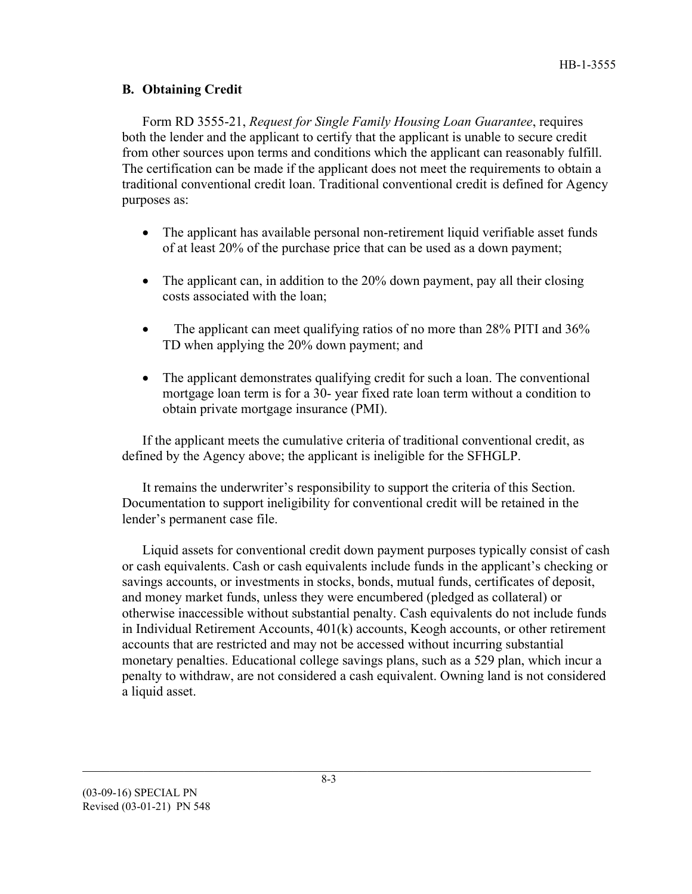## **B. Obtaining Credit**

Form RD 3555-21, *Request for Single Family Housing Loan Guarantee*, requires both the lender and the applicant to certify that the applicant is unable to secure credit from other sources upon terms and conditions which the applicant can reasonably fulfill. The certification can be made if the applicant does not meet the requirements to obtain a traditional conventional credit loan. Traditional conventional credit is defined for Agency purposes as:

- The applicant has available personal non-retirement liquid verifiable asset funds of at least 20% of the purchase price that can be used as a down payment;
- The applicant can, in addition to the 20% down payment, pay all their closing costs associated with the loan;
- The applicant can meet qualifying ratios of no more than 28% PITI and 36% TD when applying the 20% down payment; and
- The applicant demonstrates qualifying credit for such a loan. The conventional mortgage loan term is for a 30- year fixed rate loan term without a condition to obtain private mortgage insurance (PMI).

If the applicant meets the cumulative criteria of traditional conventional credit, as defined by the Agency above; the applicant is ineligible for the SFHGLP.

It remains the underwriter's responsibility to support the criteria of this Section. Documentation to support ineligibility for conventional credit will be retained in the lender's permanent case file.

Liquid assets for conventional credit down payment purposes typically consist of cash or cash equivalents. Cash or cash equivalents include funds in the applicant's checking or savings accounts, or investments in stocks, bonds, mutual funds, certificates of deposit, and money market funds, unless they were encumbered (pledged as collateral) or otherwise inaccessible without substantial penalty. Cash equivalents do not include funds in Individual Retirement Accounts, 401(k) accounts, Keogh accounts, or other retirement accounts that are restricted and may not be accessed without incurring substantial monetary penalties. Educational college savings plans, such as a 529 plan, which incur a penalty to withdraw, are not considered a cash equivalent. Owning land is not considered a liquid asset.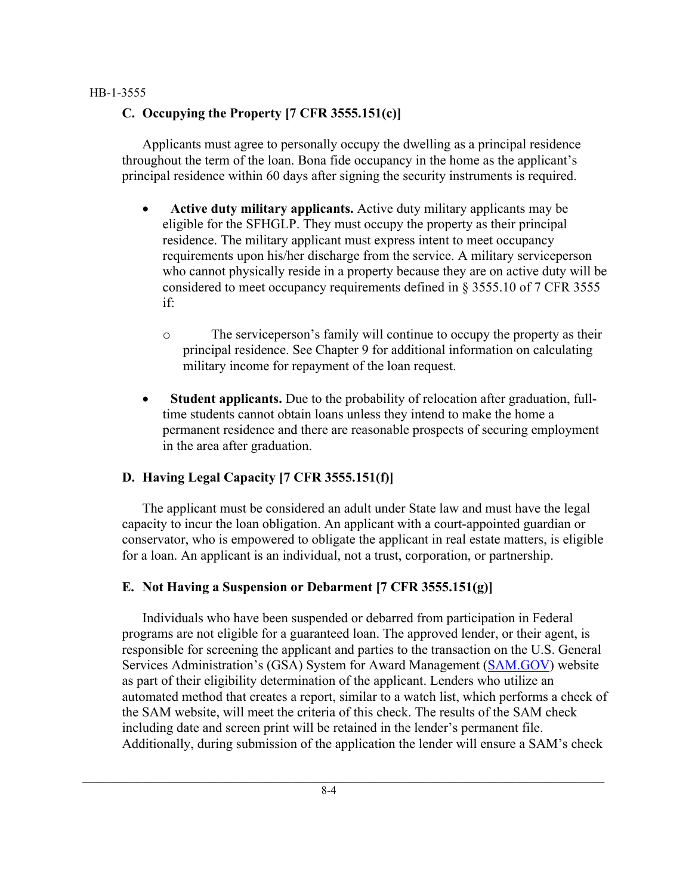#### HB-1-3555

# **C. Occupying the Property [7 CFR 3555.151(c)]**

Applicants must agree to personally occupy the dwelling as a principal residence throughout the term of the loan. Bona fide occupancy in the home as the applicant's principal residence within 60 days after signing the security instruments is required.

- **Active duty military applicants.** Active duty military applicants may be eligible for the SFHGLP. They must occupy the property as their principal residence. The military applicant must express intent to meet occupancy requirements upon his/her discharge from the service. A military serviceperson who cannot physically reside in a property because they are on active duty will be considered to meet occupancy requirements defined in § 3555.10 of 7 CFR 3555 if:
	- o The serviceperson's family will continue to occupy the property as their principal residence. See Chapter 9 for additional information on calculating military income for repayment of the loan request.
- **Student applicants.** Due to the probability of relocation after graduation, fulltime students cannot obtain loans unless they intend to make the home a permanent residence and there are reasonable prospects of securing employment in the area after graduation.

# **D. Having Legal Capacity [7 CFR 3555.151(f)]**

The applicant must be considered an adult under State law and must have the legal capacity to incur the loan obligation. An applicant with a court-appointed guardian or conservator, who is empowered to obligate the applicant in real estate matters, is eligible for a loan. An applicant is an individual, not a trust, corporation, or partnership.

# **E. Not Having a Suspension or Debarment [7 CFR 3555.151(g)]**

Individuals who have been suspended or debarred from participation in Federal programs are not eligible for a guaranteed loan. The approved lender, or their agent, is responsible for screening the applicant and parties to the transaction on the U.S. General Services Administration's (GSA) System for Award Management [\(SAM.GOV\)](http://www.sam.gov/) website as part of their eligibility determination of the applicant. Lenders who utilize an automated method that creates a report, similar to a watch list, which performs a check of the SAM website, will meet the criteria of this check. The results of the SAM check including date and screen print will be retained in the lender's permanent file. Additionally, during submission of the application the lender will ensure a SAM's check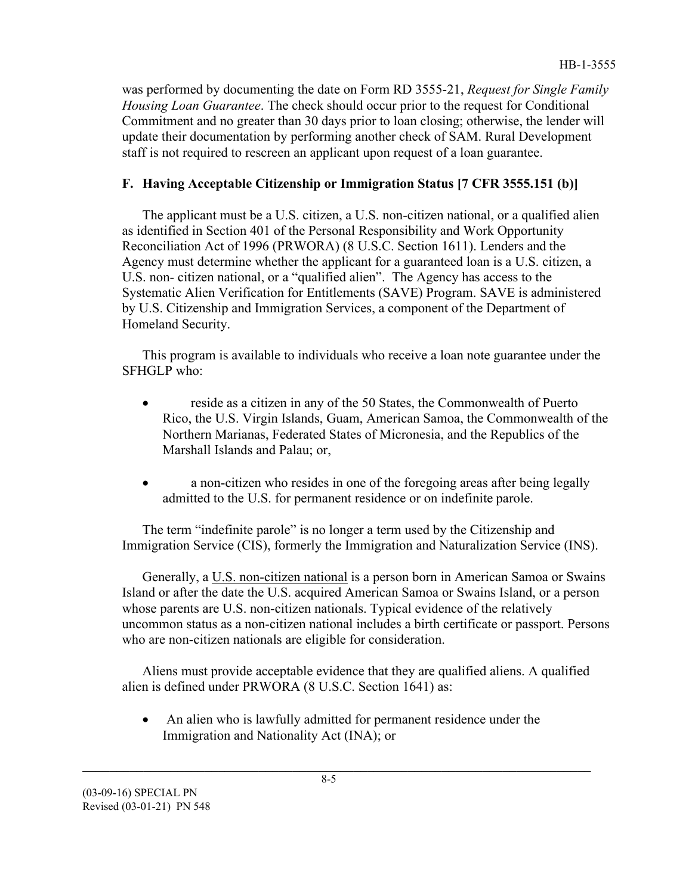was performed by documenting the date on Form RD 3555-21, *Request for Single Family Housing Loan Guarantee*. The check should occur prior to the request for Conditional Commitment and no greater than 30 days prior to loan closing; otherwise, the lender will update their documentation by performing another check of SAM. Rural Development staff is not required to rescreen an applicant upon request of a loan guarantee.

# **F. Having Acceptable Citizenship or Immigration Status [7 CFR 3555.151 (b)]**

The applicant must be a U.S. citizen, a U.S. non-citizen national, or a qualified alien as identified in Section 401 of the Personal Responsibility and Work Opportunity Reconciliation Act of 1996 (PRWORA) (8 U.S.C. Section 1611). Lenders and the Agency must determine whether the applicant for a guaranteed loan is a U.S. citizen, a U.S. non- citizen national, or a "qualified alien". The Agency has access to the Systematic Alien Verification for Entitlements (SAVE) Program. SAVE is administered by U.S. Citizenship and Immigration Services, a component of the Department of Homeland Security.

This program is available to individuals who receive a loan note guarantee under the SFHGLP who:

- reside as a citizen in any of the 50 States, the Commonwealth of Puerto Rico, the U.S. Virgin Islands, Guam, American Samoa, the Commonwealth of the Northern Marianas, Federated States of Micronesia, and the Republics of the Marshall Islands and Palau; or,
- a non-citizen who resides in one of the foregoing areas after being legally admitted to the U.S. for permanent residence or on indefinite parole.

The term "indefinite parole" is no longer a term used by the Citizenship and Immigration Service (CIS), formerly the Immigration and Naturalization Service (INS).

Generally, a U.S. non-citizen national is a person born in American Samoa or Swains Island or after the date the U.S. acquired American Samoa or Swains Island, or a person whose parents are U.S. non-citizen nationals. Typical evidence of the relatively uncommon status as a non-citizen national includes a birth certificate or passport. Persons who are non-citizen nationals are eligible for consideration.

Aliens must provide acceptable evidence that they are qualified aliens. A qualified alien is defined under PRWORA (8 U.S.C. Section 1641) as:

• An alien who is lawfully admitted for permanent residence under the Immigration and Nationality Act (INA); or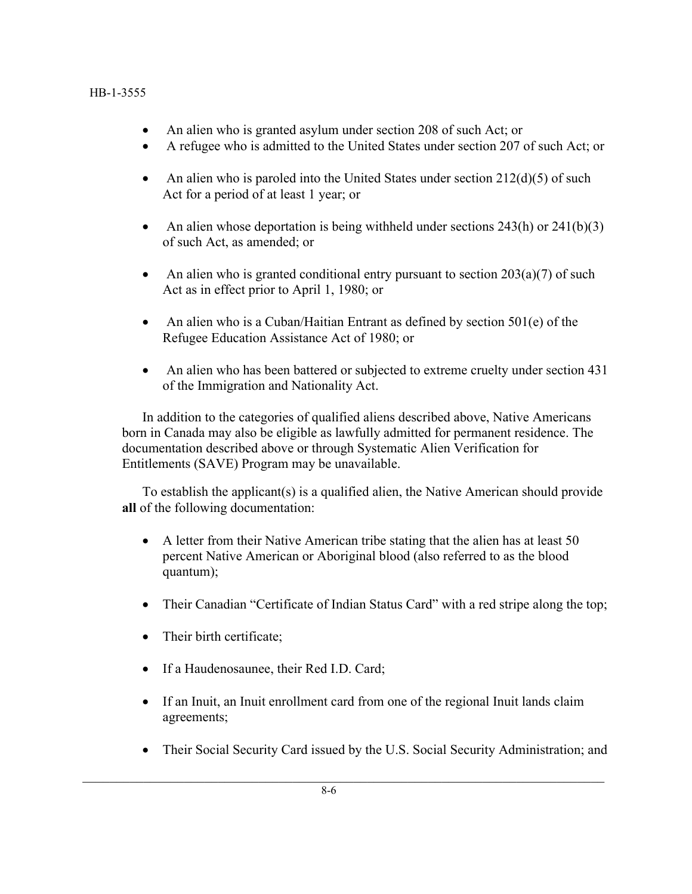- An alien who is granted asylum under section 208 of such Act; or
- A refugee who is admitted to the United States under section 207 of such Act; or
- An alien who is paroled into the United States under section  $212(d)(5)$  of such Act for a period of at least 1 year; or
- An alien whose deportation is being withheld under sections  $243(h)$  or  $241(b)(3)$ of such Act, as amended; or
- An alien who is granted conditional entry pursuant to section  $203(a)(7)$  of such Act as in effect prior to April 1, 1980; or
- An alien who is a Cuban/Haitian Entrant as defined by section 501(e) of the Refugee Education Assistance Act of 1980; or
- An alien who has been battered or subjected to extreme cruelty under section 431 of the Immigration and Nationality Act.

In addition to the categories of qualified aliens described above, Native Americans born in Canada may also be eligible as lawfully admitted for permanent residence. The documentation described above or through Systematic Alien Verification for Entitlements (SAVE) Program may be unavailable.

To establish the applicant(s) is a qualified alien, the Native American should provide **all** of the following documentation:

- A letter from their Native American tribe stating that the alien has at least 50 percent Native American or Aboriginal blood (also referred to as the blood quantum);
- Their Canadian "Certificate of Indian Status Card" with a red stripe along the top;
- Their birth certificate;
- If a Haudenosaunee, their Red I.D. Card;
- If an Inuit, an Inuit enrollment card from one of the regional Inuit lands claim agreements;
- Their Social Security Card issued by the U.S. Social Security Administration; and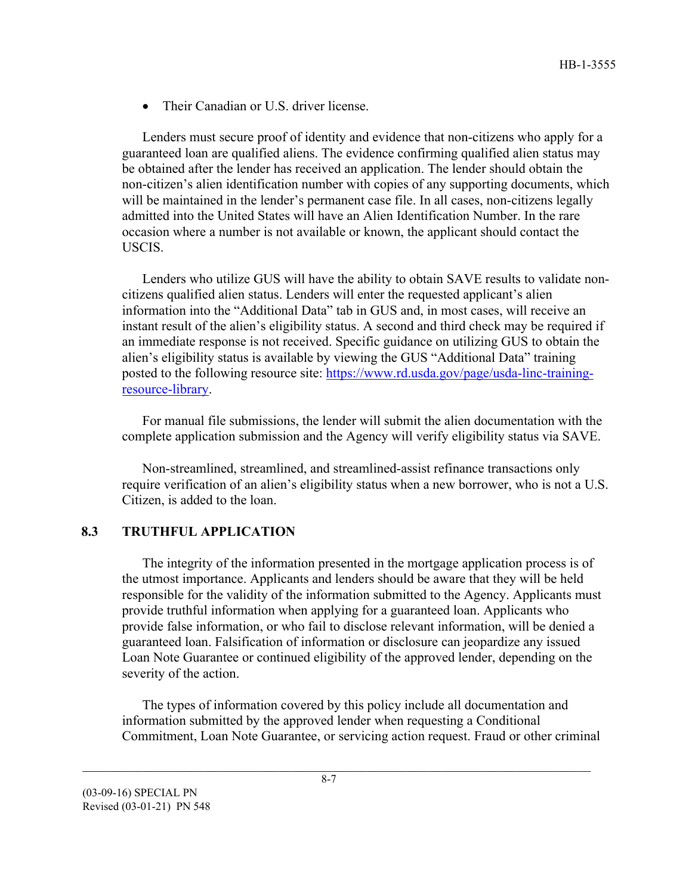• Their Canadian or U.S. driver license.

Lenders must secure proof of identity and evidence that non-citizens who apply for a guaranteed loan are qualified aliens. The evidence confirming qualified alien status may be obtained after the lender has received an application. The lender should obtain the non-citizen's alien identification number with copies of any supporting documents, which will be maintained in the lender's permanent case file. In all cases, non-citizens legally admitted into the United States will have an Alien Identification Number. In the rare occasion where a number is not available or known, the applicant should contact the USCIS.

Lenders who utilize GUS will have the ability to obtain SAVE results to validate noncitizens qualified alien status. Lenders will enter the requested applicant's alien information into the "Additional Data" tab in GUS and, in most cases, will receive an instant result of the alien's eligibility status. A second and third check may be required if an immediate response is not received. Specific guidance on utilizing GUS to obtain the alien's eligibility status is available by viewing the GUS "Additional Data" training posted to the following resource site: [https://www.rd.usda.gov/page/usda-linc-training](https://www.rd.usda.gov/page/usda-linc-training-resource-library)[resource-library.](https://www.rd.usda.gov/page/usda-linc-training-resource-library)

For manual file submissions, the lender will submit the alien documentation with the complete application submission and the Agency will verify eligibility status via SAVE.

Non-streamlined, streamlined, and streamlined-assist refinance transactions only require verification of an alien's eligibility status when a new borrower, who is not a U.S. Citizen, is added to the loan.

#### **8.3 TRUTHFUL APPLICATION**

The integrity of the information presented in the mortgage application process is of the utmost importance. Applicants and lenders should be aware that they will be held responsible for the validity of the information submitted to the Agency. Applicants must provide truthful information when applying for a guaranteed loan. Applicants who provide false information, or who fail to disclose relevant information, will be denied a guaranteed loan. Falsification of information or disclosure can jeopardize any issued Loan Note Guarantee or continued eligibility of the approved lender, depending on the severity of the action.

The types of information covered by this policy include all documentation and information submitted by the approved lender when requesting a Conditional Commitment, Loan Note Guarantee, or servicing action request. Fraud or other criminal